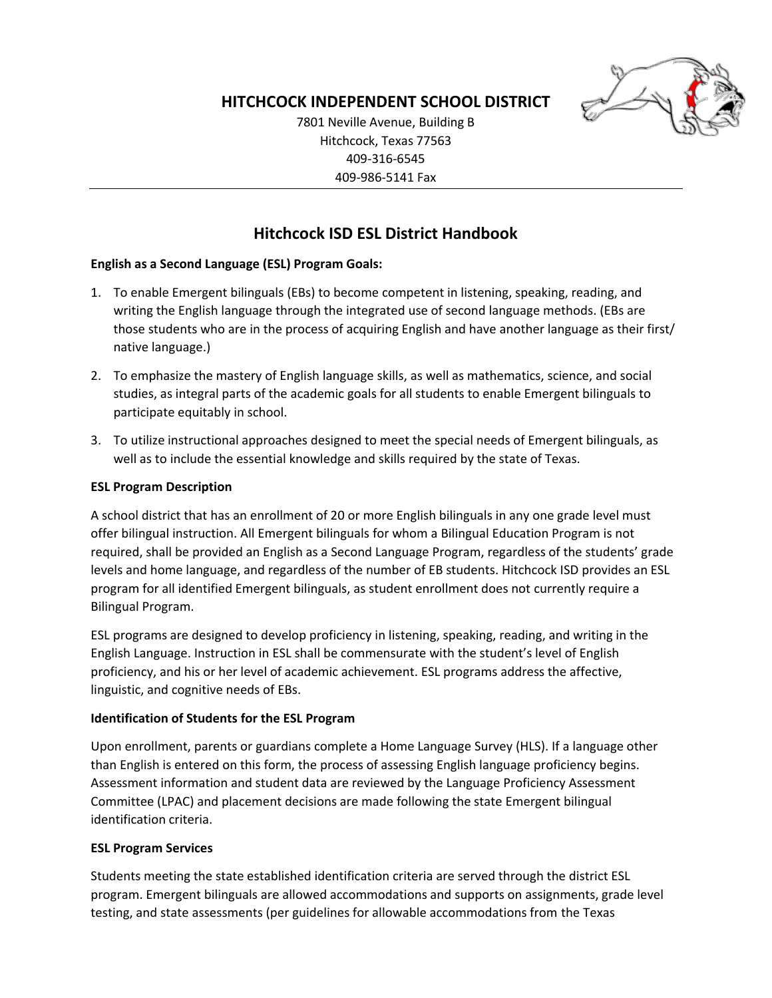

# **HITCHCOCK INDEPENDENT SCHOOL DISTRICT**

7801 Neville Avenue, Building B Hitchcock, Texas 77563 409-316-6545 409-986-5141 Fax

# **Hitchcock ISD ESL District Handbook**

## **English as a Second Language (ESL) Program Goals:**

- 1. To enable Emergent bilinguals (EBs) to become competent in listening, speaking, reading, and writing the English language through the integrated use of second language methods. (EBs are those students who are in the process of acquiring English and have another language as their first/ native language.)
- 2. To emphasize the mastery of English language skills, as well as mathematics, science, and social studies, as integral parts of the academic goals for all students to enable Emergent bilinguals to participate equitably in school.
- 3. To utilize instructional approaches designed to meet the special needs of Emergent bilinguals, as well as to include the essential knowledge and skills required by the state of Texas.

### **ESL Program Description**

A school district that has an enrollment of 20 or more English bilinguals in any one grade level must offer bilingual instruction. All Emergent bilinguals for whom a Bilingual Education Program is not required, shall be provided an English as a Second Language Program, regardless of the students' grade levels and home language, and regardless of the number of EB students. Hitchcock ISD provides an ESL program for all identified Emergent bilinguals, as student enrollment does not currently require a Bilingual Program.

ESL programs are designed to develop proficiency in listening, speaking, reading, and writing in the English Language. Instruction in ESL shall be commensurate with the student's level of English proficiency, and his or her level of academic achievement. ESL programs address the affective, linguistic, and cognitive needs of EBs.

#### **Identification of Students for the ESL Program**

Upon enrollment, parents or guardians complete a Home Language Survey (HLS). If a language other than English is entered on this form, the process of assessing English language proficiency begins. Assessment information and student data are reviewed by the Language Proficiency Assessment Committee (LPAC) and placement decisions are made following the state Emergent bilingual identification criteria.

#### **ESL Program Services**

Students meeting the state established identification criteria are served through the district ESL program. Emergent bilinguals are allowed accommodations and supports on assignments, grade level testing, and state assessments (per guidelines for allowable accommodations from the Texas